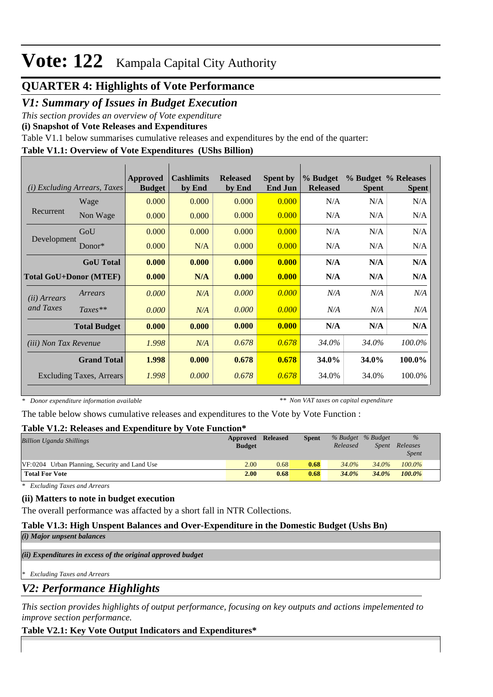## **Vote: 122** Kampala Capital City Authority

## **QUARTER 4: Highlights of Vote Performance**

## *V1: Summary of Issues in Budget Execution*

*This section provides an overview of Vote expenditure* 

**(i) Snapshot of Vote Releases and Expenditures**

Table V1.1 below summarises cumulative releases and expenditures by the end of the quarter:

## **Table V1.1: Overview of Vote Expenditures (UShs Billion)**

| <i>Excluding Arrears, Taxes</i><br>(i) |                     | Approved<br><b>Budget</b> | <b>Cashlimits</b><br>by End | <b>Released</b><br>by End | <b>Spent by</b><br><b>End Jun</b> | % Budget<br><b>Released</b> | <b>Spent</b> | % Budget % Releases<br><b>Spent</b> |
|----------------------------------------|---------------------|---------------------------|-----------------------------|---------------------------|-----------------------------------|-----------------------------|--------------|-------------------------------------|
| Recurrent                              | Wage                | 0.000                     | 0.000                       | 0.000                     | 0.000                             | N/A                         | N/A          | N/A                                 |
|                                        | Non Wage            | 0.000                     | 0.000                       | 0.000                     | 0.000                             | N/A                         | N/A          | N/A                                 |
| Development                            | GoU                 | 0.000                     | 0.000                       | 0.000                     | 0.000                             | N/A                         | N/A          | N/A                                 |
|                                        | Donor $*$           | 0.000                     | N/A                         | 0.000                     | 0.000                             | N/A                         | N/A          | N/A                                 |
|                                        | <b>GoU</b> Total    | 0.000                     | 0.000                       | 0.000                     | 0.000                             | N/A                         | N/A          | N/A                                 |
| <b>Total GoU+Donor (MTEF)</b>          |                     | 0.000                     | N/A                         | 0.000                     | 0.000                             | N/A                         | N/A          | N/A                                 |
| ( <i>ii</i> ) Arrears<br>and Taxes     | Arrears             | 0.000                     | N/A                         | 0.000                     | 0.000                             | N/A                         | N/A          | N/A                                 |
|                                        | $Taxes**$           | 0.000                     | N/A                         | 0.000                     | 0.000                             | N/A                         | N/A          | N/A                                 |
|                                        | <b>Total Budget</b> | 0.000                     | 0.000                       | 0.000                     | 0.000                             | N/A                         | N/A          | N/A                                 |
| (iii) Non Tax Revenue                  |                     | 1.998                     | N/A                         | 0.678                     | 0.678                             | 34.0%                       | 34.0%        | 100.0%                              |
| <b>Grand Total</b>                     |                     | 1.998                     | 0.000                       | 0.678                     | 0.678                             | <b>34.0%</b>                | 34.0%        | 100.0%                              |
| Excluding Taxes, Arrears               |                     | 1.998                     | 0.000                       | 0.678                     | 0.678                             | 34.0%                       | 34.0%        | 100.0%                              |

*\* Donor expenditure information available*

*\*\* Non VAT taxes on capital expenditure*

The table below shows cumulative releases and expenditures to the Vote by Vote Function :

### **Table V1.2: Releases and Expenditure by Vote Function\***

| <b>Billion Uganda Shillings</b>               | Approved      | <b>Released</b> | <b>Spent</b> |          | % Budget % Budget | $\%$         |  |
|-----------------------------------------------|---------------|-----------------|--------------|----------|-------------------|--------------|--|
|                                               | <b>Budget</b> |                 |              | Released | Spent             | Releases     |  |
|                                               |               |                 |              |          |                   | <b>Spent</b> |  |
| VF:0204 Urban Planning, Security and Land Use | 2.00          | 0.68            | 0.68         | 34.0%    | $34.0\%$          | $100.0\%$    |  |
| <b>Total For Vote</b>                         | 2.00          | 0.68            | 0.68         | 34.0%    | 34.0%             | 100.0%       |  |

*\* Excluding Taxes and Arrears*

### **(ii) Matters to note in budget execution**

The overall performance was affacted by a short fall in NTR Collections.

### **Table V1.3: High Unspent Balances and Over-Expenditure in the Domestic Budget (Ushs Bn)**

*(i) Major unpsent balances*

*(ii) Expenditures in excess of the original approved budget*

*\* Excluding Taxes and Arrears*

*V2: Performance Highlights*

*This section provides highlights of output performance, focusing on key outputs and actions impelemented to improve section performance.*

### **Table V2.1: Key Vote Output Indicators and Expenditures\***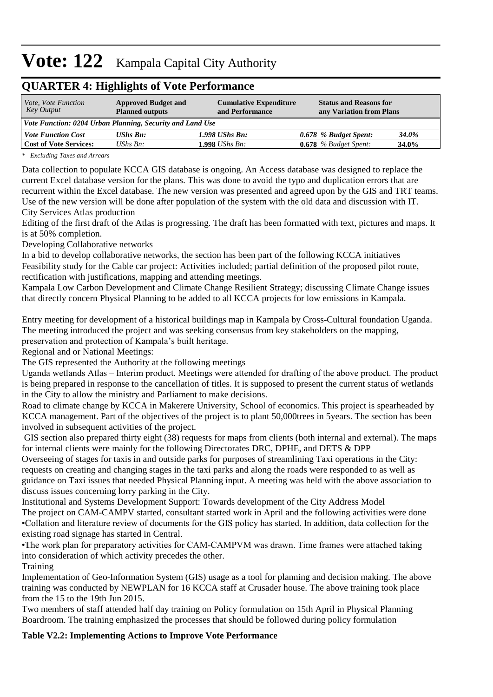# **Vote: 122** Kampala Capital City Authority

| QUARTER 7. HIGHIGHTS OF YOR I CHOI MARC                   |                                                      |                                                  |                                                           |       |  |  |  |  |
|-----------------------------------------------------------|------------------------------------------------------|--------------------------------------------------|-----------------------------------------------------------|-------|--|--|--|--|
| <i>Vote, Vote Function</i><br>Key Output                  | <b>Approved Budget and</b><br><b>Planned outputs</b> | <b>Cumulative Expenditure</b><br>and Performance | <b>Status and Reasons for</b><br>any Variation from Plans |       |  |  |  |  |
| Vote Function: 0204 Urban Planning, Security and Land Use |                                                      |                                                  |                                                           |       |  |  |  |  |
| <b>Vote Function Cost</b>                                 | <b>UShs Bn:</b>                                      | $1.998$ UShs Bn:                                 | 0.678 % Budget Spent:                                     | 34.0% |  |  |  |  |
| <b>Cost of Vote Services:</b>                             | UShs $Bn$ :                                          | $1.998$ UShs Bn:                                 | $0.678$ % Budget Spent:                                   | 34.0% |  |  |  |  |

## **QUA DTED 4: Highlights of Vote Perform**

*\* Excluding Taxes and Arrears*

Data collection to populate KCCA GIS database is ongoing. An Access database was designed to replace the current Excel database version for the plans. This was done to avoid the typo and duplication errors that are recurrent within the Excel database. The new version was presented and agreed upon by the GIS and TRT teams. Use of the new version will be done after population of the system with the old data and discussion with IT. City Services Atlas production

Editing of the first draft of the Atlas is progressing. The draft has been formatted with text, pictures and maps. It is at 50% completion.

Developing Collaborative networks

In a bid to develop collaborative networks, the section has been part of the following KCCA initiatives Feasibility study for the Cable car project: Activities included; partial definition of the proposed pilot route, rectification with justifications, mapping and attending meetings.

Kampala Low Carbon Development and Climate Change Resilient Strategy; discussing Climate Change issues that directly concern Physical Planning to be added to all KCCA projects for low emissions in Kampala.

Entry meeting for development of a historical buildings map in Kampala by Cross-Cultural foundation Uganda. The meeting introduced the project and was seeking consensus from key stakeholders on the mapping, preservation and protection of Kampala's built heritage.

Regional and or National Meetings:

The GIS represented the Authority at the following meetings

Uganda wetlands Atlas – Interim product. Meetings were attended for drafting of the above product. The product is being prepared in response to the cancellation of titles. It is supposed to present the current status of wetlands in the City to allow the ministry and Parliament to make decisions.

Road to climate change by KCCA in Makerere University, School of economics. This project is spearheaded by KCCA management. Part of the objectives of the project is to plant 50,000trees in 5years. The section has been involved in subsequent activities of the project.

 GIS section also prepared thirty eight (38) requests for maps from clients (both internal and external). The maps for internal clients were mainly for the following Directorates DRC, DPHE, and DETS & DPP

Overseeing of stages for taxis in and outside parks for purposes of streamlining Taxi operations in the City: requests on creating and changing stages in the taxi parks and along the roads were responded to as well as guidance on Taxi issues that needed Physical Planning input. A meeting was held with the above association to discuss issues concerning lorry parking in the City.

Institutional and Systems Development Support: Towards development of the City Address Model The project on CAM-CAMPV started, consultant started work in April and the following activities were done •Collation and literature review of documents for the GIS policy has started. In addition, data collection for the existing road signage has started in Central.

• The work plan for preparatory activities for CAM-CAMPVM was drawn. Time frames were attached taking into consideration of which activity precedes the other.

Training

Implementation of Geo-Information System (GIS) usage as a tool for planning and decision making. The above training was conducted by NEWPLAN for 16 KCCA staff at Crusader house. The above training took place from the 15 to the 19th Jun 2015.

Two members of staff attended half day training on Policy formulation on 15th April in Physical Planning Boardroom. The training emphasized the processes that should be followed during policy formulation

## **Table V2.2: Implementing Actions to Improve Vote Performance**